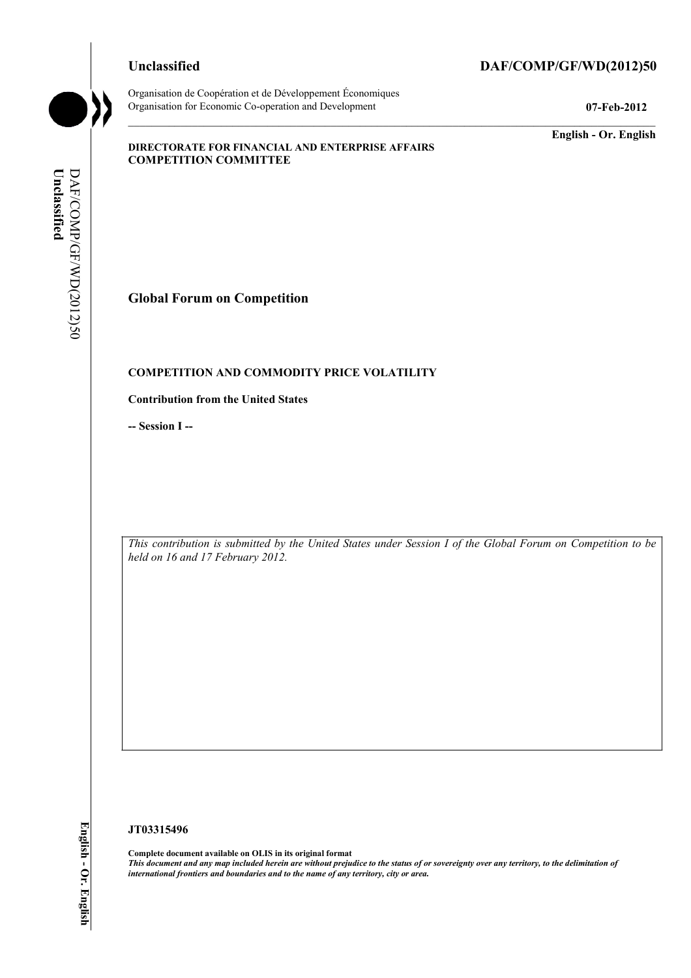Organisation de Coopération et de Développement Économiques Organisation for Economic Co-operation and Development **07-Feb-2012** 

# **Unclassified DAF/COMP/GF/WD(2012)50**

**English - Or. English** 

## **DIRECTORATE FOR FINANCIAL AND ENTERPRISE AFFAIRS COMPETITION COMMITTEE**

DAF/COMP/GF/WD(2012)50 Unclassified **Unclassified**  DAF/COMP/GF/WD(2012)50

## **Global Forum on Competition**

## **COMPETITION AND COMMODITY PRICE VOLATILITY**

## **Contribution from the United States**

**-- Session I --** 

 *This contribution is submitted by the United States under Session I of the Global Forum on Competition to be held on 16 and 17 February 2012.* 

### **JT03315496**

 **Complete document available on OLIS in its original format**   *This document and any map included herein are without prejudice to the status of or sovereignty over any territory, to the delimitation of international frontiers and boundaries and to the name of any territory, city or area.*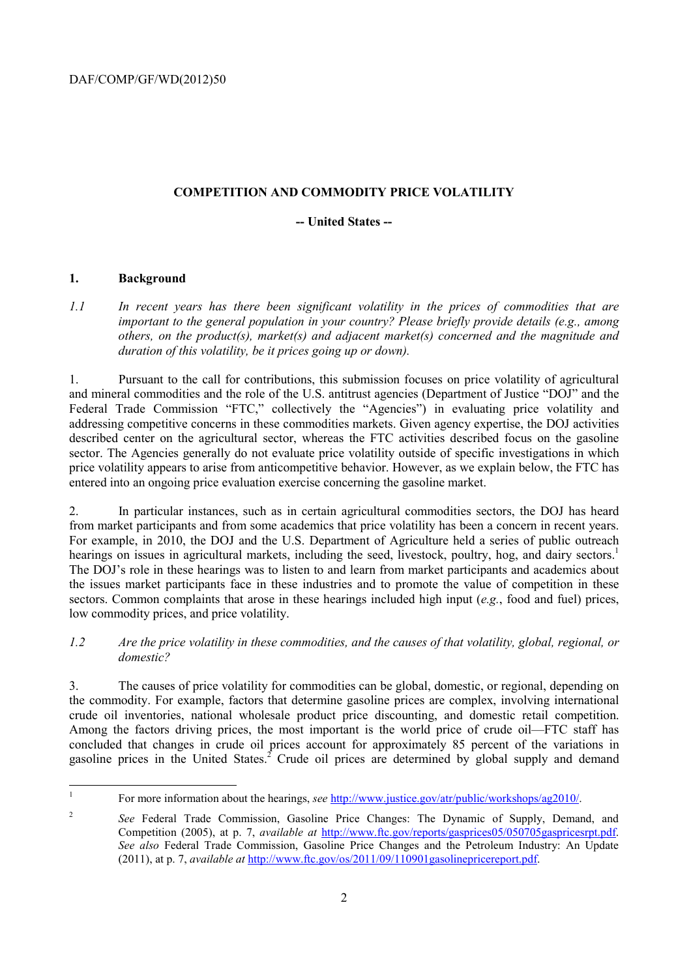# **COMPETITION AND COMMODITY PRICE VOLATILITY**

## **-- United States --**

# **1. Background**

*1.1 In recent years has there been significant volatility in the prices of commodities that are important to the general population in your country? Please briefly provide details (e.g., among others, on the product(s), market(s) and adjacent market(s) concerned and the magnitude and duration of this volatility, be it prices going up or down).* 

 price volatility appears to arise from anticompetitive behavior. However, as we explain below, the FTC has 1. Pursuant to the call for contributions, this submission focuses on price volatility of agricultural and mineral commodities and the role of the U.S. antitrust agencies (Department of Justice "DOJ" and the Federal Trade Commission "FTC," collectively the "Agencies") in evaluating price volatility and addressing competitive concerns in these commodities markets. Given agency expertise, the DOJ activities described center on the agricultural sector, whereas the FTC activities described focus on the gasoline sector. The Agencies generally do not evaluate price volatility outside of specific investigations in which entered into an ongoing price evaluation exercise concerning the gasoline market.

 the issues market participants face in these industries and to promote the value of competition in these 2. In particular instances, such as in certain agricultural commodities sectors, the DOJ has heard from market participants and from some academics that price volatility has been a concern in recent years. For example, in 2010, the DOJ and the U.S. Department of Agriculture held a series of public outreach hearings on issues in agricultural markets, including the seed, livestock, poultry, hog, and dairy sectors.<sup>1</sup> The DOJ's role in these hearings was to listen to and learn from market participants and academics about sectors. Common complaints that arose in these hearings included high input (*e.g.*, food and fuel) prices, low commodity prices, and price volatility.

*1.2 Are the price volatility in these commodities, and the causes of that volatility, global, regional, or domestic?* 

 3. The causes of price volatility for commodities can be global, domestic, or regional, depending on the commodity. For example, factors that determine gasoline prices are complex, involving international crude oil inventories, national wholesale product price discounting, and domestic retail competition. Among the factors driving prices, the most important is the world price of crude oil—FTC staff has concluded that changes in crude oil prices account for approximately 85 percent of the variations in gasoline prices in the United States.<sup>2</sup> Crude oil prices are determined by global supply and demand

 1 For more information about the hearings, *see* http://www.justice.gov/atr/public/workshops/ag2010/.

 $\overline{\mathcal{L}}$  *See also* Federal Trade Commission, Gasoline Price Changes and the Petroleum Industry: An Update <sup>2</sup>*See* Federal Trade Commission, Gasoline Price Changes: The Dynamic of Supply, Demand, and Competition (2005), at p. 7, *available at* http://www.ftc.gov/reports/gasprices05/050705gaspricesrpt.pdf. (2011), at p. 7, *available at* http://www.ftc.gov/os/2011/09/110901gasolinepricereport.pdf.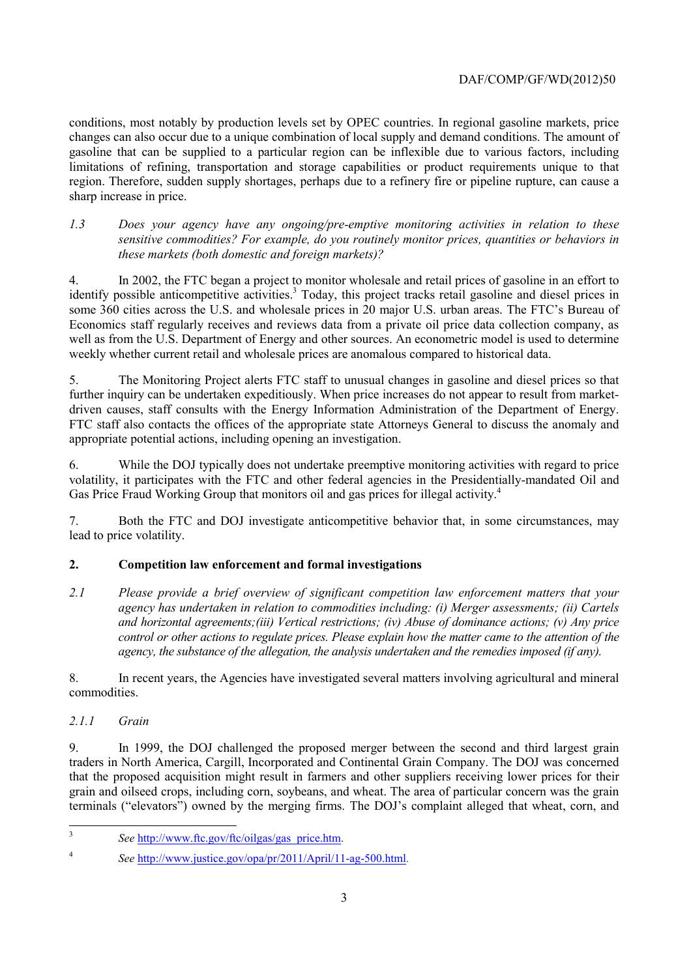limitations of refining, transportation and storage capabilities or product requirements unique to that conditions, most notably by production levels set by OPEC countries. In regional gasoline markets, price changes can also occur due to a unique combination of local supply and demand conditions. The amount of gasoline that can be supplied to a particular region can be inflexible due to various factors, including region. Therefore, sudden supply shortages, perhaps due to a refinery fire or pipeline rupture, can cause a sharp increase in price.

*1.3 Does your agency have any ongoing/pre-emptive monitoring activities in relation to these sensitive commodities? For example, do you routinely monitor prices, quantities or behaviors in these markets (both domestic and foreign markets)?* 

4. In 2002, the FTC began a project to monitor wholesale and retail prices of gasoline in an effort to identify possible anticompetitive activities.<sup>3</sup> Today, this project tracks retail gasoline and diesel prices in some 360 cities across the U.S. and wholesale prices in 20 major U.S. urban areas. The FTC's Bureau of Economics staff regularly receives and reviews data from a private oil price data collection company, as well as from the U.S. Department of Energy and other sources. An econometric model is used to determine weekly whether current retail and wholesale prices are anomalous compared to historical data.

5. The Monitoring Project alerts FTC staff to unusual changes in gasoline and diesel prices so that further inquiry can be undertaken expeditiously. When price increases do not appear to result from marketdriven causes, staff consults with the Energy Information Administration of the Department of Energy. FTC staff also contacts the offices of the appropriate state Attorneys General to discuss the anomaly and appropriate potential actions, including opening an investigation.

6. While the DOJ typically does not undertake preemptive monitoring activities with regard to price volatility, it participates with the FTC and other federal agencies in the Presidentially-mandated Oil and Gas Price Fraud Working Group that monitors oil and gas prices for illegal activity.<sup>4</sup>

7. Both the FTC and DOJ investigate anticompetitive behavior that, in some circumstances, may lead to price volatility.

# **2. Competition law enforcement and formal investigations**

 *2.1 Please provide a brief overview of significant competition law enforcement matters that your agency has undertaken in relation to commodities including: (i) Merger assessments; (ii) Cartels and horizontal agreements;(iii) Vertical restrictions; (iv) Abuse of dominance actions; (v) Any price control or other actions to regulate prices. Please explain how the matter came to the attention of the agency, the substance of the allegation, the analysis undertaken and the remedies imposed (if any).* 

8. In recent years, the Agencies have investigated several matters involving agricultural and mineral commodities.

# *2.1.1 Grain*

9. In 1999, the DOJ challenged the proposed merger between the second and third largest grain traders in North America, Cargill, Incorporated and Continental Grain Company. The DOJ was concerned that the proposed acquisition might result in farmers and other suppliers receiving lower prices for their grain and oilseed crops, including corn, soybeans, and wheat. The area of particular concern was the grain terminals ("elevators") owned by the merging firms. The DOJ's complaint alleged that wheat, corn, and

<sup>3</sup>*See* http://www.ftc.gov/ftc/oilgas/gas\_price.htm.

<sup>4</sup>*See* http://www.justice.gov/opa/pr/2011/April/11-ag-500.html.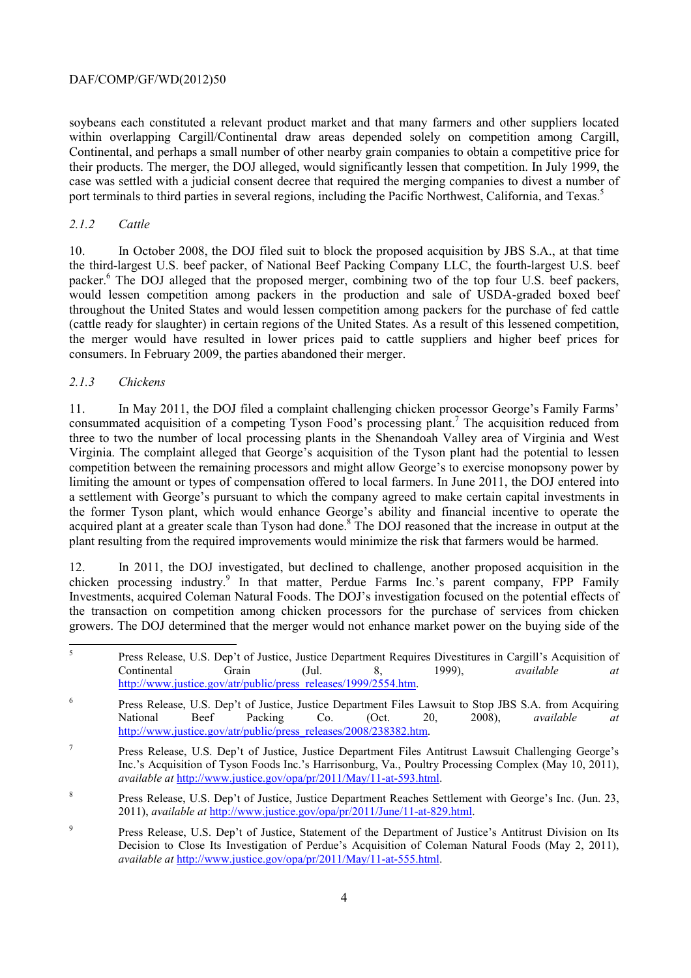## DAF/COMP/GF/WD(2012)50

port terminals to third parties in several regions, including the Pacific Northwest, California, and Texas.<sup>5</sup> soybeans each constituted a relevant product market and that many farmers and other suppliers located within overlapping Cargill/Continental draw areas depended solely on competition among Cargill, Continental, and perhaps a small number of other nearby grain companies to obtain a competitive price for their products. The merger, the DOJ alleged, would significantly lessen that competition. In July 1999, the case was settled with a judicial consent decree that required the merging companies to divest a number of

## *2.1.2 Cattle*

10. In October 2008, the DOJ filed suit to block the proposed acquisition by JBS S.A., at that time the third-largest U.S. beef packer, of National Beef Packing Company LLC, the fourth-largest U.S. beef packer.<sup>6</sup> The DOJ alleged that the proposed merger, combining two of the top four U.S. beef packers, would lessen competition among packers in the production and sale of USDA-graded boxed beef throughout the United States and would lessen competition among packers for the purchase of fed cattle (cattle ready for slaughter) in certain regions of the United States. As a result of this lessened competition, the merger would have resulted in lower prices paid to cattle suppliers and higher beef prices for consumers. In February 2009, the parties abandoned their merger.

## *2.1.3 Chickens*

 limiting the amount or types of compensation offered to local farmers. In June 2011, the DOJ entered into the former Tyson plant, which would enhance George's ability and financial incentive to operate the 11. In May 2011, the DOJ filed a complaint challenging chicken processor George's Family Farms' consummated acquisition of a competing Tyson Food's processing plant.<sup>7</sup> The acquisition reduced from three to two the number of local processing plants in the Shenandoah Valley area of Virginia and West Virginia. The complaint alleged that George's acquisition of the Tyson plant had the potential to lessen competition between the remaining processors and might allow George's to exercise monopsony power by a settlement with George's pursuant to which the company agreed to make certain capital investments in acquired plant at a greater scale than Tyson had done.<sup>8</sup> The DOJ reasoned that the increase in output at the plant resulting from the required improvements would minimize the risk that farmers would be harmed.

 growers. The DOJ determined that the merger would not enhance market power on the buying side of the 12. In 2011, the DOJ investigated, but declined to challenge, another proposed acquisition in the chicken processing industry.<sup>9</sup> In that matter, Perdue Farms Inc.'s parent company, FPP Family Investments, acquired Coleman Natural Foods. The DOJ's investigation focused on the potential effects of the transaction on competition among chicken processors for the purchase of services from chicken

- <sup>6</sup> Press Release, U.S. Dep't of Justice, Justice Department Files Lawsuit to Stop JBS S.A. from Acquiring National Beef Packing Co. (Oct. 20, 2008), *available at*  http://www.justice.gov/atr/public/press\_releases/2008/238382.htm.
- 7 Press Release, U.S. Dep't of Justice, Justice Department Files Antitrust Lawsuit Challenging George's Inc.'s Acquisition of Tyson Foods Inc.'s Harrisonburg, Va., Poultry Processing Complex (May 10, 2011), *available at* http://www.justice.gov/opa/pr/2011/May/11-at-593.html.
- 8 Press Release, U.S. Dep't of Justice, Justice Department Reaches Settlement with George's Inc. (Jun. 23, 2011), *available at* http://www.justice.gov/opa/pr/2011/June/11-at-829.html.
- <sup>9</sup> Press Release, U.S. Dep't of Justice, Statement of the Department of Justice's Antitrust Division on Its Decision to Close Its Investigation of Perdue's Acquisition of Coleman Natural Foods (May 2, 2011), *available at* http://www.justice.gov/opa/pr/2011/May/11-at-555.html.

 5 Press Release, U.S. Dep't of Justice, Justice Department Requires Divestitures in Cargill's Acquisition of Continental Grain (Jul. 8, 1999), *available at*  http://www.justice.gov/atr/public/press\_releases/1999/2554.htm.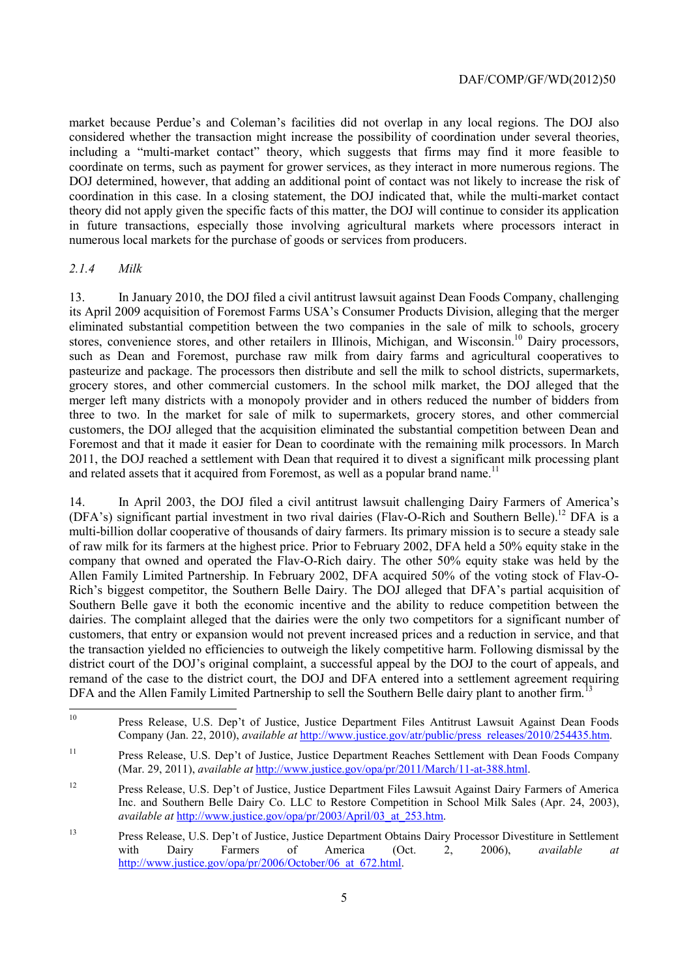coordination in this case. In a closing statement, the DOJ indicated that, while the multi-market contact in future transactions, especially those involving agricultural markets where processors interact in market because Perdue's and Coleman's facilities did not overlap in any local regions. The DOJ also considered whether the transaction might increase the possibility of coordination under several theories, including a "multi-market contact" theory, which suggests that firms may find it more feasible to coordinate on terms, such as payment for grower services, as they interact in more numerous regions. The DOJ determined, however, that adding an additional point of contact was not likely to increase the risk of theory did not apply given the specific facts of this matter, the DOJ will continue to consider its application numerous local markets for the purchase of goods or services from producers.

## *2.1.4 Milk*

 $\overline{a}$ 

13. In January 2010, the DOJ filed a civil antitrust lawsuit against Dean Foods Company, challenging its April 2009 acquisition of Foremost Farms USA's Consumer Products Division, alleging that the merger eliminated substantial competition between the two companies in the sale of milk to schools, grocery stores, convenience stores, and other retailers in Illinois, Michigan, and Wisconsin.<sup>10</sup> Dairy processors, such as Dean and Foremost, purchase raw milk from dairy farms and agricultural cooperatives to pasteurize and package. The processors then distribute and sell the milk to school districts, supermarkets, grocery stores, and other commercial customers. In the school milk market, the DOJ alleged that the merger left many districts with a monopoly provider and in others reduced the number of bidders from three to two. In the market for sale of milk to supermarkets, grocery stores, and other commercial customers, the DOJ alleged that the acquisition eliminated the substantial competition between Dean and Foremost and that it made it easier for Dean to coordinate with the remaining milk processors. In March 2011, the DOJ reached a settlement with Dean that required it to divest a significant milk processing plant and related assets that it acquired from Foremost, as well as a popular brand name.<sup>11</sup>

 district court of the DOJ's original complaint, a successful appeal by the DOJ to the court of appeals, and 14. In April 2003, the DOJ filed a civil antitrust lawsuit challenging Dairy Farmers of America's ( $DFA's$ ) significant partial investment in two rival dairies ( $Flav-O-Rich$  and Southern Belle).<sup>12</sup> DFA is a multi-billion dollar cooperative of thousands of dairy farmers. Its primary mission is to secure a steady sale of raw milk for its farmers at the highest price. Prior to February 2002, DFA held a 50% equity stake in the company that owned and operated the Flav-O-Rich dairy. The other 50% equity stake was held by the Allen Family Limited Partnership. In February 2002, DFA acquired 50% of the voting stock of Flav-O-Rich's biggest competitor, the Southern Belle Dairy. The DOJ alleged that DFA's partial acquisition of Southern Belle gave it both the economic incentive and the ability to reduce competition between the dairies. The complaint alleged that the dairies were the only two competitors for a significant number of customers, that entry or expansion would not prevent increased prices and a reduction in service, and that the transaction yielded no efficiencies to outweigh the likely competitive harm. Following dismissal by the remand of the case to the district court, the DOJ and DFA entered into a settlement agreement requiring DFA and the Allen Family Limited Partnership to sell the Southern Belle dairy plant to another firm.

<sup>10</sup> Press Release, U.S. Dep't of Justice, Justice Department Files Antitrust Lawsuit Against Dean Foods Company (Jan. 22, 2010), *available at* http://www.justice.gov/atr/public/press\_releases/2010/254435.htm.

<sup>11</sup> Press Release, U.S. Dep't of Justice, Justice Department Reaches Settlement with Dean Foods Company (Mar. 29, 2011), *available at* http://www.justice.gov/opa/pr/2011/March/11-at-388.html.

<sup>12</sup> 12 Press Release, U.S. Dep't of Justice, Justice Department Files Lawsuit Against Dairy Farmers of America Inc. and Southern Belle Dairy Co. LLC to Restore Competition in School Milk Sales (Apr. 24, 2003), *available at* http://www.justice.gov/opa/pr/2003/April/03\_at\_253.htm.

 $13$ with 13 Press Release, U.S. Dep't of Justice, Justice Department Obtains Dairy Processor Divestiture in Settlement with Dairy Farmers of America (Oct. 2, 2006), *available at*  http://www.justice.gov/opa/pr/2006/October/06\_at\_672.html.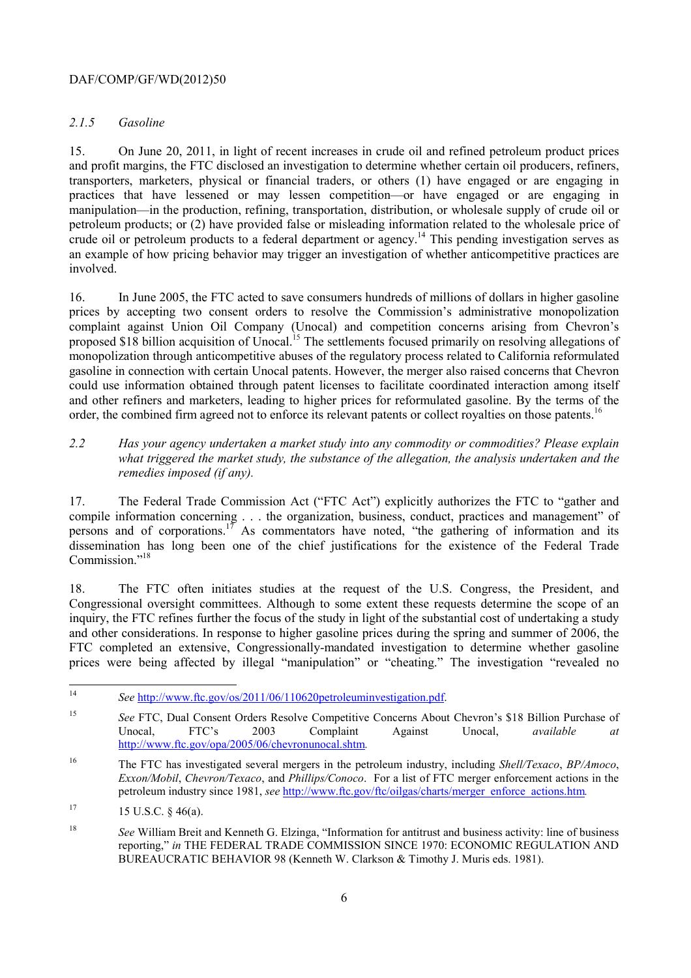## DAF/COMP/GF/WD(2012)50

## *2.1.5 Gasoline*

15. On June 20, 2011, in light of recent increases in crude oil and refined petroleum product prices and profit margins, the FTC disclosed an investigation to determine whether certain oil producers, refiners, transporters, marketers, physical or financial traders, or others (1) have engaged or are engaging in practices that have lessened or may lessen competition—or have engaged or are engaging in manipulation—in the production, refining, transportation, distribution, or wholesale supply of crude oil or petroleum products; or (2) have provided false or misleading information related to the wholesale price of crude oil or petroleum products to a federal department or agency.<sup>14</sup> This pending investigation serves as an example of how pricing behavior may trigger an investigation of whether anticompetitive practices are involved.

16. In June 2005, the FTC acted to save consumers hundreds of millions of dollars in higher gasoline prices by accepting two consent orders to resolve the Commission's administrative monopolization complaint against Union Oil Company (Unocal) and competition concerns arising from Chevron's proposed \$18 billion acquisition of Unocal.<sup>15</sup> The settlements focused primarily on resolving allegations of monopolization through anticompetitive abuses of the regulatory process related to California reformulated gasoline in connection with certain Unocal patents. However, the merger also raised concerns that Chevron could use information obtained through patent licenses to facilitate coordinated interaction among itself and other refiners and marketers, leading to higher prices for reformulated gasoline. By the terms of the order, the combined firm agreed not to enforce its relevant patents or collect royalties on those patents.<sup>16</sup>

*2.2 Has your agency undertaken a market study into any commodity or commodities? Please explain what triggered the market study, the substance of the allegation, the analysis undertaken and the remedies imposed (if any).* 

 dissemination has long been one of the chief justifications for the existence of the Federal Trade 17. The Federal Trade Commission Act ("FTC Act") explicitly authorizes the FTC to "gather and compile information concerning . . . the organization, business, conduct, practices and management" of persons and of corporations.<sup>17</sup> As commentators have noted, "the gathering of information and its Commission."<sup>18</sup>

18. The FTC often initiates studies at the request of the U.S. Congress, the President, and Congressional oversight committees. Although to some extent these requests determine the scope of an inquiry, the FTC refines further the focus of the study in light of the substantial cost of undertaking a study and other considerations. In response to higher gasoline prices during the spring and summer of 2006, the FTC completed an extensive, Congressionally-mandated investigation to determine whether gasoline prices were being affected by illegal "manipulation" or "cheating." The investigation "revealed no

 <sup>14</sup>*See* http://www.ftc.gov/os/2011/06/110620petroleuminvestigation.pdf.

<sup>15</sup>*See* FTC, Dual Consent Orders Resolve Competitive Concerns About Chevron's \$18 Billion Purchase of Unocal, FTC's 2003 Complaint Against Unocal, *available at*  http://www.ftc.gov/opa/2005/06/chevronunocal.shtm*.* 

<sup>16</sup> The FTC has investigated several mergers in the petroleum industry, including *Shell/Texaco*, *BP/Amoco*, *Exxon/Mobil*, *Chevron/Texaco*, and *Phillips/Conoco*. For a list of FTC merger enforcement actions in the petroleum industry since 1981, *see* http://www.ftc.gov/ftc/oilgas/charts/merger\_enforce\_actions.htm*.* 

 $15 \text{ U.S.C. }$  § 46(a).

<sup>18</sup> <sup>18</sup>*See* William Breit and Kenneth G. Elzinga, "Information for antitrust and business activity: line of business reporting," *in* THE FEDERAL TRADE COMMISSION SINCE 1970: ECONOMIC REGULATION AND BUREAUCRATIC BEHAVIOR 98 (Kenneth W. Clarkson & Timothy J. Muris eds. 1981).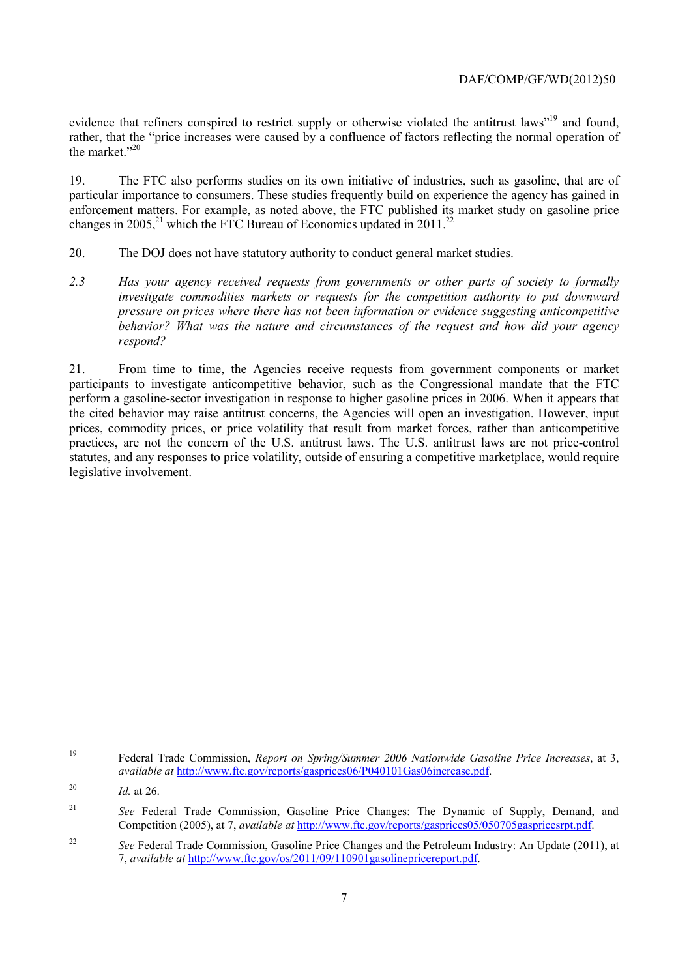evidence that refiners conspired to restrict supply or otherwise violated the antitrust laws"<sup>19</sup> and found, rather, that the "price increases were caused by a confluence of factors reflecting the normal operation of the market."<sup>20</sup>

changes in 2005,<sup>21</sup> which the FTC Bureau of Economics updated in 2011.<sup>22</sup> 19. The FTC also performs studies on its own initiative of industries, such as gasoline, that are of particular importance to consumers. These studies frequently build on experience the agency has gained in enforcement matters. For example, as noted above, the FTC published its market study on gasoline price

- 20. The DOJ does not have statutory authority to conduct general market studies.
- *investigate commodities markets or requests for the competition authority to put downward 2.3 Has your agency received requests from governments or other parts of society to formally pressure on prices where there has not been information or evidence suggesting anticompetitive behavior? What was the nature and circumstances of the request and how did your agency respond?*

21. From time to time, the Agencies receive requests from government components or market participants to investigate anticompetitive behavior, such as the Congressional mandate that the FTC perform a gasoline-sector investigation in response to higher gasoline prices in 2006. When it appears that the cited behavior may raise antitrust concerns, the Agencies will open an investigation. However, input prices, commodity prices, or price volatility that result from market forces, rather than anticompetitive practices, are not the concern of the U.S. antitrust laws. The U.S. antitrust laws are not price-control statutes, and any responses to price volatility, outside of ensuring a competitive marketplace, would require legislative involvement.

<sup>19</sup> Federal Trade Commission, *Report on Spring/Summer 2006 Nationwide Gasoline Price Increases*, at 3, *available at* http://www.ftc.gov/reports/gasprices06/P040101Gas06increase.pdf.

<sup>20</sup>*Id.* at 26.

<sup>&</sup>lt;sup>21</sup> See Federal Trade Commission, Gasoline Price Changes: The Dynamic of Supply, Demand, and Competition (2005), at 7, *available at* http://www.ftc.gov/reports/gasprices05/050705gaspricesrpt.pdf.

<sup>&</sup>lt;sup>22</sup> See Federal Trade Commission, Gasoline Price Changes and the Petroleum Industry: An Update (2011), at 7, *available at* http://www.ftc.gov/os/2011/09/110901gasolinepricereport.pdf.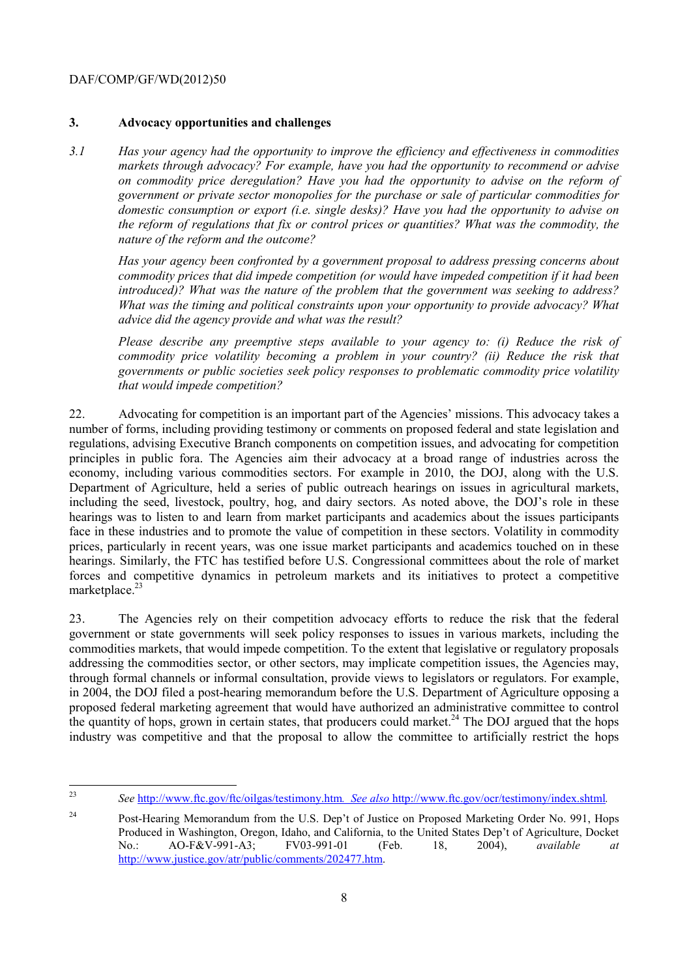## DAF/COMP/GF/WD(2012)50

## **3. Advocacy opportunities and challenges**

*3.1 Has your agency had the opportunity to improve the efficiency and effectiveness in commodities markets through advocacy? For example, have you had the opportunity to recommend or advise on commodity price deregulation? Have you had the opportunity to advise on the reform of government or private sector monopolies for the purchase or sale of particular commodities for domestic consumption or export (i.e. single desks)? Have you had the opportunity to advise on the reform of regulations that fix or control prices or quantities? What was the commodity, the nature of the reform and the outcome?* 

*advice did the agency provide and what was the result? Has your agency been confronted by a government proposal to address pressing concerns about commodity prices that did impede competition (or would have impeded competition if it had been introduced)? What was the nature of the problem that the government was seeking to address? What was the timing and political constraints upon your opportunity to provide advocacy? What* 

*advice did the agency provide and what was the result? Please describe any preemptive steps available to your agency to: (i) Reduce the risk of commodity price volatility becoming a problem in your country? (ii) Reduce the risk that governments or public societies seek policy responses to problematic commodity price volatility that would impede competition?* 

marketplace.<sup>23</sup> 22. Advocating for competition is an important part of the Agencies' missions. This advocacy takes a number of forms, including providing testimony or comments on proposed federal and state legislation and regulations, advising Executive Branch components on competition issues, and advocating for competition principles in public fora. The Agencies aim their advocacy at a broad range of industries across the economy, including various commodities sectors. For example in 2010, the DOJ, along with the U.S. Department of Agriculture, held a series of public outreach hearings on issues in agricultural markets, including the seed, livestock, poultry, hog, and dairy sectors. As noted above, the DOJ's role in these hearings was to listen to and learn from market participants and academics about the issues participants face in these industries and to promote the value of competition in these sectors. Volatility in commodity prices, particularly in recent years, was one issue market participants and academics touched on in these hearings. Similarly, the FTC has testified before U.S. Congressional committees about the role of market forces and competitive dynamics in petroleum markets and its initiatives to protect a competitive

23. The Agencies rely on their competition advocacy efforts to reduce the risk that the federal government or state governments will seek policy responses to issues in various markets, including the commodities markets, that would impede competition. To the extent that legislative or regulatory proposals addressing the commodities sector, or other sectors, may implicate competition issues, the Agencies may, through formal channels or informal consultation, provide views to legislators or regulators. For example, in 2004, the DOJ filed a post-hearing memorandum before the U.S. Department of Agriculture opposing a proposed federal marketing agreement that would have authorized an administrative committee to control the quantity of hops, grown in certain states, that producers could market.<sup>24</sup> The DOJ argued that the hops industry was competitive and that the proposal to allow the committee to artificially restrict the hops

 $23$ <sup>23</sup>*See* http://www.ftc.gov/ftc/oilgas/testimony.htm*. See also* http://www.ftc.gov/ocr/testimony/index.shtml*.* 

<sup>&</sup>lt;sup>24</sup> Post-Hearing Memorandum from the U.S. Dep't of Justice on Proposed Marketing Order No. 991, Hops Produced in Washington, Oregon, Idaho, and California, to the United States Dep't of Agriculture, Docket No.: AO-F&V-991-A3; FV03-991-01 (Feb. 18, 2004), *available at*  http://www.justice.gov/atr/public/comments/202477.htm.